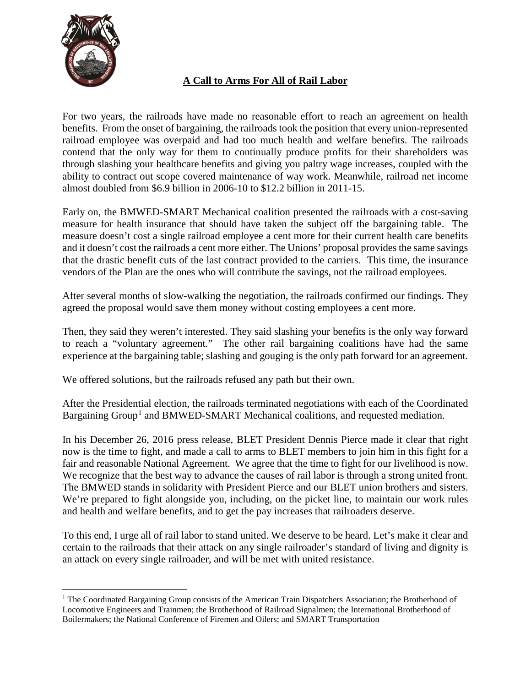

#### **A Call to Arms For All of Rail Labor**

For two years, the railroads have made no reasonable effort to reach an agreement on health benefits. From the onset of bargaining, the railroads took the position that every union-represented railroad employee was overpaid and had too much health and welfare benefits. The railroads contend that the only way for them to continually produce profits for their shareholders was through slashing your healthcare benefits and giving you paltry wage increases, coupled with the ability to contract out scope covered maintenance of way work. Meanwhile, railroad net income almost doubled from \$6.9 billion in 2006-10 to \$12.2 billion in 2011-15.

Early on, the BMWED-SMART Mechanical coalition presented the railroads with a cost-saving measure for health insurance that should have taken the subject off the bargaining table. The measure doesn't cost a single railroad employee a cent more for their current health care benefits and it doesn't cost the railroads a cent more either. The Unions' proposal provides the same savings that the drastic benefit cuts of the last contract provided to the carriers. This time, the insurance vendors of the Plan are the ones who will contribute the savings, not the railroad employees.

After several months of slow-walking the negotiation, the railroads confirmed our findings. They agreed the proposal would save them money without costing employees a cent more.

Then, they said they weren't interested. They said slashing your benefits is the only way forward to reach a "voluntary agreement." The other rail bargaining coalitions have had the same experience at the bargaining table; slashing and gouging is the only path forward for an agreement.

We offered solutions, but the railroads refused any path but their own.

After the Presidential election, the railroads terminated negotiations with each of the Coordinated Bargaining Group<sup>[1](#page-0-0)</sup> and BMWED-SMART Mechanical coalitions, and requested mediation.

In his December 26, 2016 press release, BLET President Dennis Pierce made it clear that right now is the time to fight, and made a call to arms to BLET members to join him in this fight for a fair and reasonable National Agreement. We agree that the time to fight for our livelihood is now. We recognize that the best way to advance the causes of rail labor is through a strong united front. The BMWED stands in solidarity with President Pierce and our BLET union brothers and sisters. We're prepared to fight alongside you, including, on the picket line, to maintain our work rules and health and welfare benefits, and to get the pay increases that railroaders deserve.

To this end, I urge all of rail labor to stand united. We deserve to be heard. Let's make it clear and certain to the railroads that their attack on any single railroader's standard of living and dignity is an attack on every single railroader, and will be met with united resistance.

<span id="page-0-0"></span><sup>&</sup>lt;sup>1</sup> The Coordinated Bargaining Group consists of the American Train Dispatchers Association; the Brotherhood of Locomotive Engineers and Trainmen; the Brotherhood of Railroad Signalmen; the International Brotherhood of Boilermakers; the National Conference of Firemen and Oilers; and SMART Transportation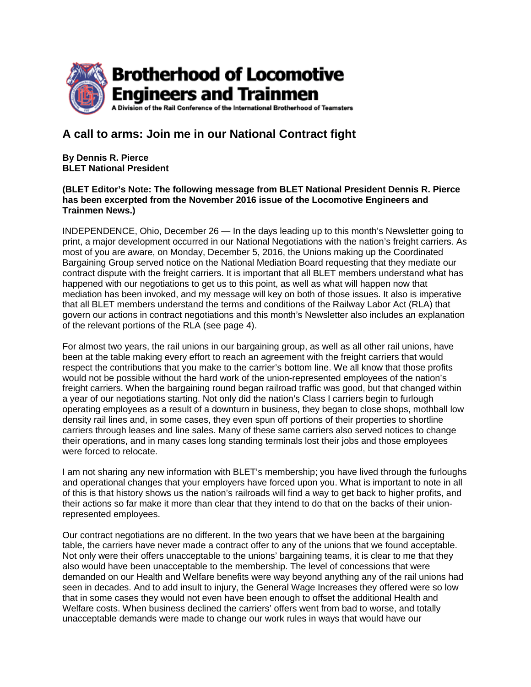

#### **A call to arms: Join me in our National Contract fight**

**By Dennis R. Pierce BLET National President**

#### **(BLET Editor's Note: The following message from BLET National President Dennis R. Pierce has been excerpted from the November 2016 issue of the Locomotive Engineers and Trainmen News.)**

INDEPENDENCE, Ohio, December 26 — In the days leading up to this month's Newsletter going to print, a major development occurred in our National Negotiations with the nation's freight carriers. As most of you are aware, on Monday, December 5, 2016, the Unions making up the Coordinated Bargaining Group served notice on the National Mediation Board requesting that they mediate our contract dispute with the freight carriers. It is important that all BLET members understand what has happened with our negotiations to get us to this point, as well as what will happen now that mediation has been invoked, and my message will key on both of those issues. It also is imperative that all BLET members understand the terms and conditions of the Railway Labor Act (RLA) that govern our actions in contract negotiations and this month's Newsletter also includes an explanation of the relevant portions of the RLA (see page 4).

For almost two years, the rail unions in our bargaining group, as well as all other rail unions, have been at the table making every effort to reach an agreement with the freight carriers that would respect the contributions that you make to the carrier's bottom line. We all know that those profits would not be possible without the hard work of the union-represented employees of the nation's freight carriers. When the bargaining round began railroad traffic was good, but that changed within a year of our negotiations starting. Not only did the nation's Class I carriers begin to furlough operating employees as a result of a downturn in business, they began to close shops, mothball low density rail lines and, in some cases, they even spun off portions of their properties to shortline carriers through leases and line sales. Many of these same carriers also served notices to change their operations, and in many cases long standing terminals lost their jobs and those employees were forced to relocate.

I am not sharing any new information with BLET's membership; you have lived through the furloughs and operational changes that your employers have forced upon you. What is important to note in all of this is that history shows us the nation's railroads will find a way to get back to higher profits, and their actions so far make it more than clear that they intend to do that on the backs of their unionrepresented employees.

Our contract negotiations are no different. In the two years that we have been at the bargaining table, the carriers have never made a contract offer to any of the unions that we found acceptable. Not only were their offers unacceptable to the unions' bargaining teams, it is clear to me that they also would have been unacceptable to the membership. The level of concessions that were demanded on our Health and Welfare benefits were way beyond anything any of the rail unions had seen in decades. And to add insult to injury, the General Wage Increases they offered were so low that in some cases they would not even have been enough to offset the additional Health and Welfare costs. When business declined the carriers' offers went from bad to worse, and totally unacceptable demands were made to change our work rules in ways that would have our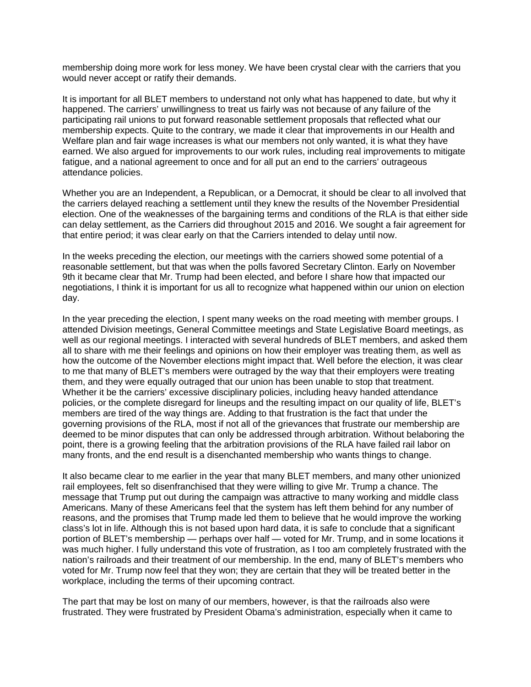membership doing more work for less money. We have been crystal clear with the carriers that you would never accept or ratify their demands.

It is important for all BLET members to understand not only what has happened to date, but why it happened. The carriers' unwillingness to treat us fairly was not because of any failure of the participating rail unions to put forward reasonable settlement proposals that reflected what our membership expects. Quite to the contrary, we made it clear that improvements in our Health and Welfare plan and fair wage increases is what our members not only wanted, it is what they have earned. We also argued for improvements to our work rules, including real improvements to mitigate fatigue, and a national agreement to once and for all put an end to the carriers' outrageous attendance policies.

Whether you are an Independent, a Republican, or a Democrat, it should be clear to all involved that the carriers delayed reaching a settlement until they knew the results of the November Presidential election. One of the weaknesses of the bargaining terms and conditions of the RLA is that either side can delay settlement, as the Carriers did throughout 2015 and 2016. We sought a fair agreement for that entire period; it was clear early on that the Carriers intended to delay until now.

In the weeks preceding the election, our meetings with the carriers showed some potential of a reasonable settlement, but that was when the polls favored Secretary Clinton. Early on November 9th it became clear that Mr. Trump had been elected, and before I share how that impacted our negotiations, I think it is important for us all to recognize what happened within our union on election day.

In the year preceding the election, I spent many weeks on the road meeting with member groups. I attended Division meetings, General Committee meetings and State Legislative Board meetings, as well as our regional meetings. I interacted with several hundreds of BLET members, and asked them all to share with me their feelings and opinions on how their employer was treating them, as well as how the outcome of the November elections might impact that. Well before the election, it was clear to me that many of BLET's members were outraged by the way that their employers were treating them, and they were equally outraged that our union has been unable to stop that treatment. Whether it be the carriers' excessive disciplinary policies, including heavy handed attendance policies, or the complete disregard for lineups and the resulting impact on our quality of life, BLET's members are tired of the way things are. Adding to that frustration is the fact that under the governing provisions of the RLA, most if not all of the grievances that frustrate our membership are deemed to be minor disputes that can only be addressed through arbitration. Without belaboring the point, there is a growing feeling that the arbitration provisions of the RLA have failed rail labor on many fronts, and the end result is a disenchanted membership who wants things to change.

It also became clear to me earlier in the year that many BLET members, and many other unionized rail employees, felt so disenfranchised that they were willing to give Mr. Trump a chance. The message that Trump put out during the campaign was attractive to many working and middle class Americans. Many of these Americans feel that the system has left them behind for any number of reasons, and the promises that Trump made led them to believe that he would improve the working class's lot in life. Although this is not based upon hard data, it is safe to conclude that a significant portion of BLET's membership — perhaps over half — voted for Mr. Trump, and in some locations it was much higher. I fully understand this vote of frustration, as I too am completely frustrated with the nation's railroads and their treatment of our membership. In the end, many of BLET's members who voted for Mr. Trump now feel that they won; they are certain that they will be treated better in the workplace, including the terms of their upcoming contract.

The part that may be lost on many of our members, however, is that the railroads also were frustrated. They were frustrated by President Obama's administration, especially when it came to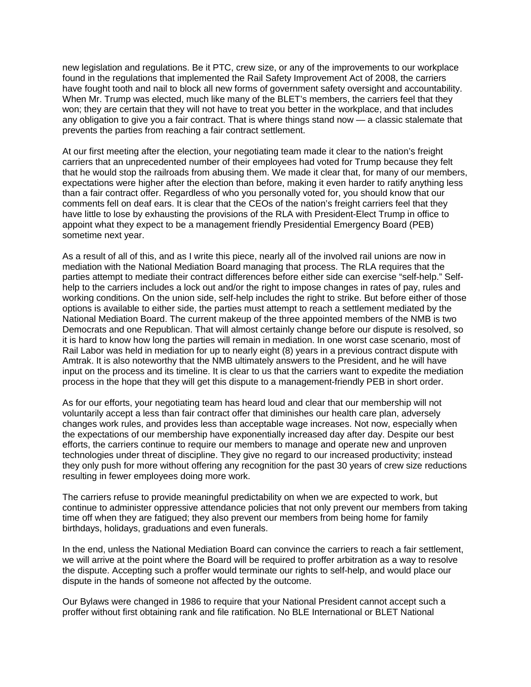new legislation and regulations. Be it PTC, crew size, or any of the improvements to our workplace found in the regulations that implemented the Rail Safety Improvement Act of 2008, the carriers have fought tooth and nail to block all new forms of government safety oversight and accountability. When Mr. Trump was elected, much like many of the BLET's members, the carriers feel that they won; they are certain that they will not have to treat you better in the workplace, and that includes any obligation to give you a fair contract. That is where things stand now — a classic stalemate that prevents the parties from reaching a fair contract settlement.

At our first meeting after the election, your negotiating team made it clear to the nation's freight carriers that an unprecedented number of their employees had voted for Trump because they felt that he would stop the railroads from abusing them. We made it clear that, for many of our members, expectations were higher after the election than before, making it even harder to ratify anything less than a fair contract offer. Regardless of who you personally voted for, you should know that our comments fell on deaf ears. It is clear that the CEOs of the nation's freight carriers feel that they have little to lose by exhausting the provisions of the RLA with President-Elect Trump in office to appoint what they expect to be a management friendly Presidential Emergency Board (PEB) sometime next year.

As a result of all of this, and as I write this piece, nearly all of the involved rail unions are now in mediation with the National Mediation Board managing that process. The RLA requires that the parties attempt to mediate their contract differences before either side can exercise "self-help." Selfhelp to the carriers includes a lock out and/or the right to impose changes in rates of pay, rules and working conditions. On the union side, self-help includes the right to strike. But before either of those options is available to either side, the parties must attempt to reach a settlement mediated by the National Mediation Board. The current makeup of the three appointed members of the NMB is two Democrats and one Republican. That will almost certainly change before our dispute is resolved, so it is hard to know how long the parties will remain in mediation. In one worst case scenario, most of Rail Labor was held in mediation for up to nearly eight (8) years in a previous contract dispute with Amtrak. It is also noteworthy that the NMB ultimately answers to the President, and he will have input on the process and its timeline. It is clear to us that the carriers want to expedite the mediation process in the hope that they will get this dispute to a management-friendly PEB in short order.

As for our efforts, your negotiating team has heard loud and clear that our membership will not voluntarily accept a less than fair contract offer that diminishes our health care plan, adversely changes work rules, and provides less than acceptable wage increases. Not now, especially when the expectations of our membership have exponentially increased day after day. Despite our best efforts, the carriers continue to require our members to manage and operate new and unproven technologies under threat of discipline. They give no regard to our increased productivity; instead they only push for more without offering any recognition for the past 30 years of crew size reductions resulting in fewer employees doing more work.

The carriers refuse to provide meaningful predictability on when we are expected to work, but continue to administer oppressive attendance policies that not only prevent our members from taking time off when they are fatigued; they also prevent our members from being home for family birthdays, holidays, graduations and even funerals.

In the end, unless the National Mediation Board can convince the carriers to reach a fair settlement, we will arrive at the point where the Board will be required to proffer arbitration as a way to resolve the dispute. Accepting such a proffer would terminate our rights to self-help, and would place our dispute in the hands of someone not affected by the outcome.

Our Bylaws were changed in 1986 to require that your National President cannot accept such a proffer without first obtaining rank and file ratification. No BLE International or BLET National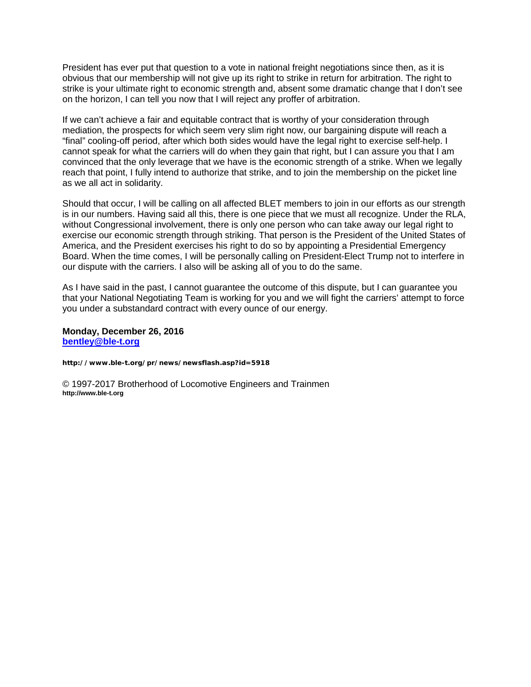President has ever put that question to a vote in national freight negotiations since then, as it is obvious that our membership will not give up its right to strike in return for arbitration. The right to strike is your ultimate right to economic strength and, absent some dramatic change that I don't see on the horizon, I can tell you now that I will reject any proffer of arbitration.

If we can't achieve a fair and equitable contract that is worthy of your consideration through mediation, the prospects for which seem very slim right now, our bargaining dispute will reach a "final" cooling-off period, after which both sides would have the legal right to exercise self-help. I cannot speak for what the carriers will do when they gain that right, but I can assure you that I am convinced that the only leverage that we have is the economic strength of a strike. When we legally reach that point, I fully intend to authorize that strike, and to join the membership on the picket line as we all act in solidarity.

Should that occur, I will be calling on all affected BLET members to join in our efforts as our strength is in our numbers. Having said all this, there is one piece that we must all recognize. Under the RLA, without Congressional involvement, there is only one person who can take away our legal right to exercise our economic strength through striking. That person is the President of the United States of America, and the President exercises his right to do so by appointing a Presidential Emergency Board. When the time comes, I will be personally calling on President-Elect Trump not to interfere in our dispute with the carriers. I also will be asking all of you to do the same.

As I have said in the past, I cannot guarantee the outcome of this dispute, but I can guarantee you that your National Negotiating Team is working for you and we will fight the carriers' attempt to force you under a substandard contract with every ounce of our energy.

**Monday, December 26, 2016 [bentley@ble-t.org](mailto:bentley@ble-t.org)**

**http://www.ble-t.org/pr/news/newsflash.asp?id=5918**

© 1997-2017 Brotherhood of Locomotive Engineers and Trainmen **http://www.ble-t.org**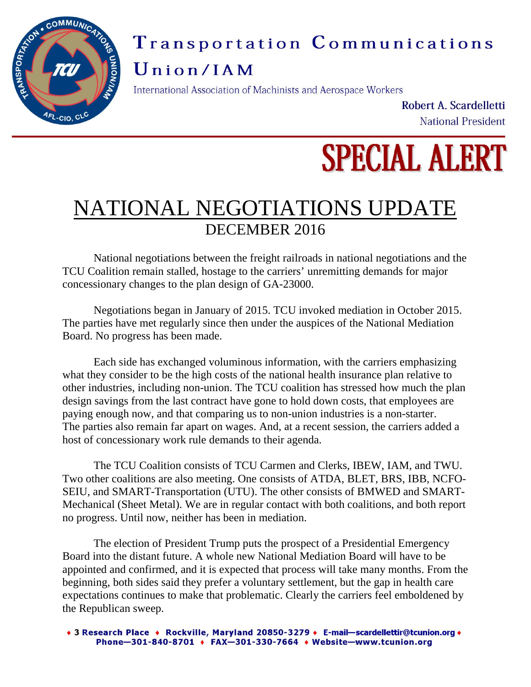

## Transportation Communications

### Union/IAM

International Association of Machinists and Aerospace Workers

Robert A. Scardelletti National President

# **SPECIAL ALERT**

## NATIONAL NEGOTIATIONS UPDATE DECEMBER 2016

National negotiations between the freight railroads in national negotiations and the TCU Coalition remain stalled, hostage to the carriers' unremitting demands for major concessionary changes to the plan design of GA-23000.

Negotiations began in January of 2015. TCU invoked mediation in October 2015. The parties have met regularly since then under the auspices of the National Mediation Board. No progress has been made.

Each side has exchanged voluminous information, with the carriers emphasizing what they consider to be the high costs of the national health insurance plan relative to other industries, including non-union. The TCU coalition has stressed how much the plan design savings from the last contract have gone to hold down costs, that employees are paying enough now, and that comparing us to non-union industries is a non-starter. The parties also remain far apart on wages. And, at a recent session, the carriers added a host of concessionary work rule demands to their agenda.

The TCU Coalition consists of TCU Carmen and Clerks, IBEW, IAM, and TWU. Two other coalitions are also meeting. One consists of ATDA, BLET, BRS, IBB, NCFO-SEIU, and SMART-Transportation (UTU). The other consists of BMWED and SMART-Mechanical (Sheet Metal). We are in regular contact with both coalitions, and both report no progress. Until now, neither has been in mediation.

The election of President Trump puts the prospect of a Presidential Emergency Board into the distant future. A whole new National Mediation Board will have to be appointed and confirmed, and it is expected that process will take many months. From the beginning, both sides said they prefer a voluntary settlement, but the gap in health care expectations continues to make that problematic. Clearly the carriers feel emboldened by the Republican sweep.

+ 3 Research Place + Rockville, Maryland 20850-3279 + E-mail-scardellettir@tcunion.org + Phone-301-840-8701 + FAX-301-330-7664 + Website-www.tcunion.org